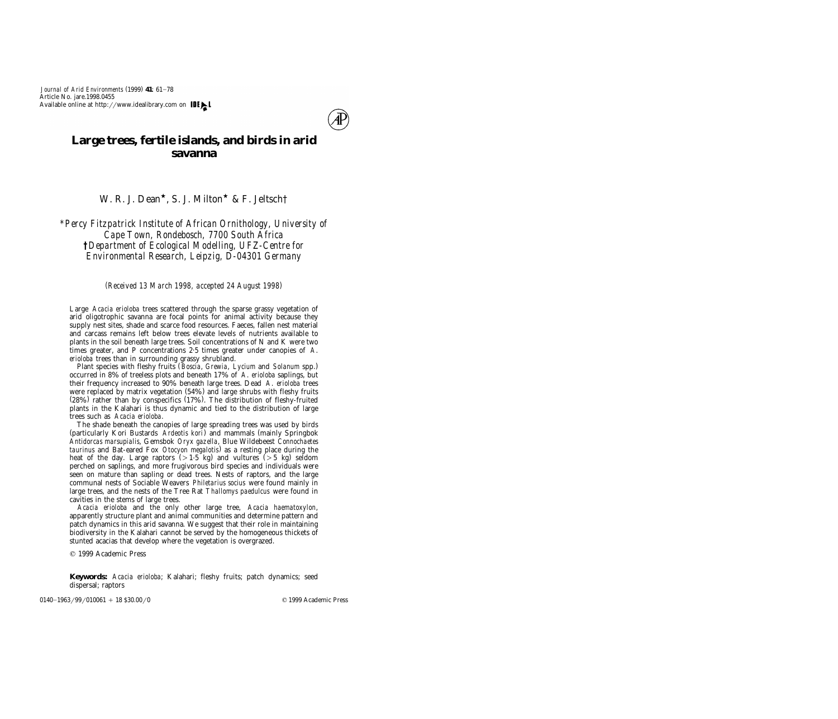

# **Large trees, fertile islands, and birds in arid savanna**

W. R. J. Dean<sup>\*</sup>, S. J. Milton<sup>\*</sup> & F. Jeltsch<sup>†</sup>

*\*Percy Fitzpatrick Institute of African Ornithology, University of Cape Town, Rondebosch, 7700 South Africa †Department of Ecological Modelling, UFZ-Centre for Environmental Research, Leipzig, D-04301 Germany*

*( ) Received 13 March 1998, accepted 24 August 1998*

Large *Acacia erioloba* trees scattered through the sparse grassy vegetation of arid oligotrophic savanna are focal points for animal activity because they supply nest sites, shade and scarce food resources. Faeces, fallen nest material and carcass remains left below trees elevate levels of nutrients available to plants in the soil beneath large trees. Soil concentrations of N and K were two times greater, and P concentrations 2.5 times greater under canopies of *A*. *erioloba* trees than in surrounding grassy shrubland.

Plant species with fleshy fruits (*Boscia, Grewia, Lycium* and *Solanum* spp.) occurred in 8% of treeless plots and beneath 17% of *A*. *erioloba* saplings, but their frequency increased to 90% beneath large trees. Dead *A*. *erioloba* trees were replaced by matrix vegetation  $(54%)$  and large shrubs with fleshy fruits  $(28%)$  rather than by conspecifics  $(17%)$ . The distribution of fleshy-fruited plants in the Kalahari is thus dynamic and tied to the distribution of large trees such as *Acacia erioloba*.

The shade beneath the canopies of large spreading trees was used by birds (particularly Kori Bustards *Ardeotis kori*) and mammals (mainly Springbok *Antidorcas marsupialis*, Gemsbok *Oryx gazella*, Blue Wildebeest *Connochaetes taurinus* and Bat-eared Fox *Otocyon megalotis*) as a resting place during the heat of the day. Large raptors (>1.5 kg) and vultures (>5 kg) seldom perched on saplings, and more frugivorous bird species and individuals were seen on mature than sapling or dead trees. Nests of raptors, and the large communal nests of Sociable Weavers *Philetarius socius* were found mainly in large trees, and the nests of the Tree Rat *Thallomys paedulcus* were found in cavities in the stems of large trees.

*Acacia erioloba* and the only other large tree, *Acacia haematoxylon*, apparently structure plant and animal communities and determine pattern and patch dynamics in this arid savanna. We suggest that their role in maintaining biodiversity in the Kalahari cannot be served by the homogeneous thickets of stunted acacias that develop where the vegetation is overgrazed.

q 1999 Academic Press

**Keywords:** *Acacia erioloba*; Kalahari; fleshy fruits; patch dynamics; seed dispersal; raptors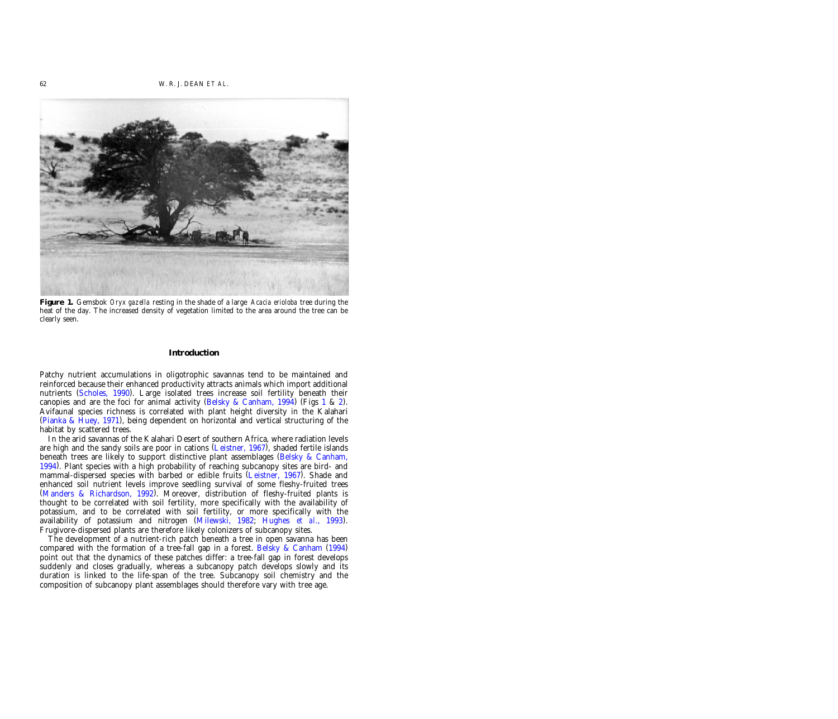<span id="page-1-0"></span>

**Figure 1.** Gemsbok *Oryx gazella* resting in the shade of a large *Acacia erioloba* tree during the heat of the day. The increased density of vegetation limited to the area around the tree can be clearly seen.

#### **Introduction**

Patchy nutrient accumulations in oligotrophic savannas tend to be maintained and reinforced because their enhanced productivity attracts animals which import additional nutrients (Scholes, 1990). Large isolated trees increase soil fertility beneath their canopies and are the foci for animal activity [\(Belsky &](#page-13-0) Canham, 1994) (Figs 1 & [2\).](#page-2-0) Avifaunal species richness is correlated with plant height diversity in the Kalahari ( $Pianka \& Huey, 1971$ ), being dependent on horizontal and vertical structuring of the habitat by scattered trees.

In the arid savannas of the Kalahari Desert of southern Africa, where radiation levels are high and the sandy soils are poor in cations (Leistner, 1967), shaded fertile islands beneath trees are likely to support distinctive plant assemblages [\(Belsky &](#page-13-0) Canham, [1994\)](#page-13-0). Plant species with a high probability of reaching subcanopy sites are bird- and mammal-dispersed species with barbed or edible fruits (Leistner, 1967). Shade and enhanced soil nutrient levels improve seedling survival of some fleshy-fruited trees (Manders & Richardson, 1992). Moreover, distribution of fleshy-fruited plants is thought to be correlated with soil fertility, more specifically with the availability of potassium, and to be correlated with soil fertility, or more specifically with the availability of potassium and nitrogen (Milewski, 1982; Hughes *et al.*, 1993). Frugivore-dispersed plants are therefore likely colonizers of subcanopy sites.

The development of a nutrient-rich patch beneath a tree in open savanna has been compared with the formation of a tree-fall gap in a forest. Belsky & [Canham](#page-13-0)  $(1994)$ point out that the dynamics of these patches differ: a tree-fall gap in forest develops suddenly and closes gradually, whereas a subcanopy patch develops slowly and its duration is linked to the life-span of the tree. Subcanopy soil chemistry and the composition of subcanopy plant assemblages should therefore vary with tree age.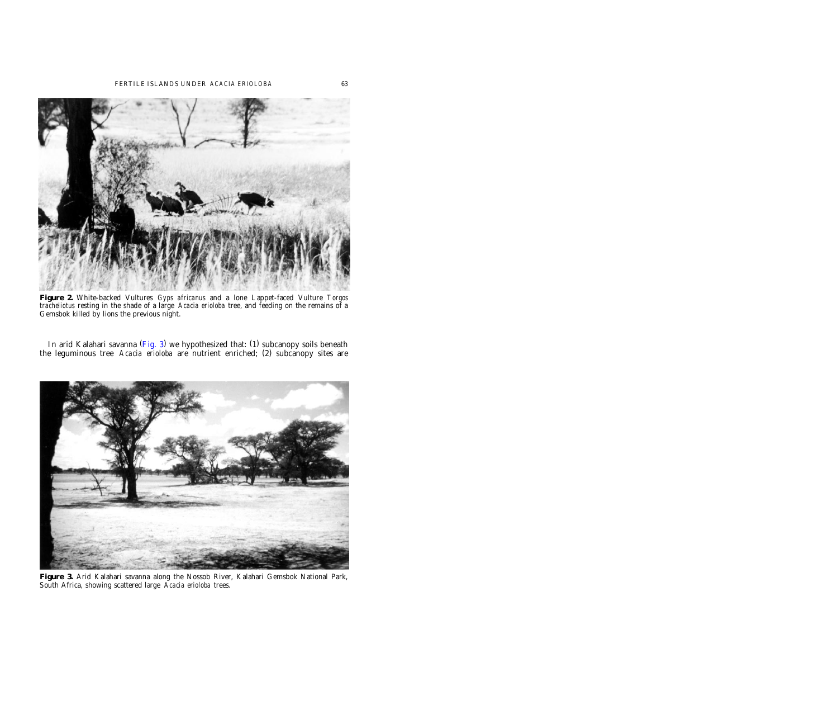<span id="page-2-0"></span>

**Figure 2.** White-backed Vultures *Gyps africanus* and a lone Lappet-faced Vulture *Torgos tracheliotus* resting in the shade of a large *Acacia erioloba* tree, and feeding on the remains of a Gemsbok killed by lions the previous night.

In arid Kalahari savanna (Fig. 3) we hypothesized that: (1) subcanopy soils beneath the leguminous tree *Acacia erioloba* are nutrient enriched; (2) subcanopy sites are



**Figure 3.** Arid Kalahari savanna along the Nossob River, Kalahari Gemsbok National Park, South Africa, showing scattered large *Acacia erioloba* trees.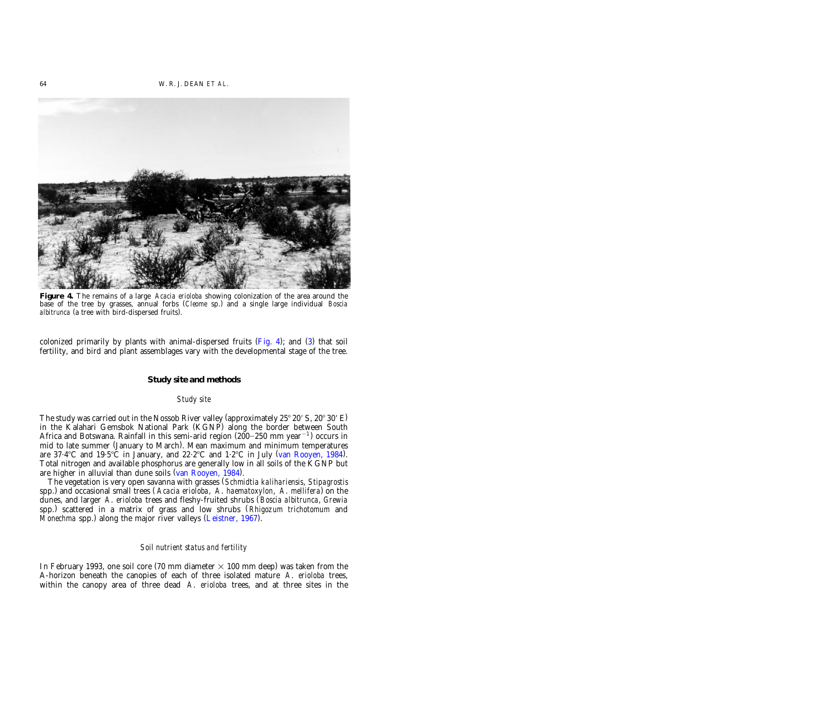

**Figure 4.** The remains of a large *Acacia erioloba* showing colonization of the area around the base of the tree by grasses, annual forbs (*Cleome* sp.) and a single large individual *Boscia albitrunca* (a tree with bird-dispersed fruits).

colonized primarily by plants with animal-dispersed fruits  $(Fig. 4)$ ; and  $(3)$  that soil fertility, and bird and plant assemblages vary with the developmental stage of the tree.

## **Study site and methods**

## *Study site*

The study was carried out in the Nossob River valley (approximately  $25^{\circ} 20'$  S,  $20^{\circ} 30'$  E) in the Kalahari Gemsbok National Park (KGNP) along the border between South Africa and Botswana. Rainfall in this semi-arid region  $(200-250 \text{ mm year}^{-1})$  occurs in mid to late summer (January to March). Mean maximum and minimum temperatures are  $37.4^{\circ}$ C and  $19.5^{\circ}$ C in January, and  $22.2^{\circ}$ C and  $1.2^{\circ}$ C in July (van Rooyen, 1984). Total nitrogen and available phosphorus are generally low in all soils of the KGNP but are higher in alluvial than dune soils  $(van Rooyen, 1984)$ .

The vegetation is very open savanna with grasses (*Schmidtia kalihariensis*, *Stipagrostis* spp.) ( and occasional small trees *Acacia erioloba*, *A*. *haematoxylon*, *A*. *mellifera*) on the dunes, and larger *A*. *erioloba* trees and fleshy-fruited shrubs (*Boscia albitrunca*, *Grewia* spp.) ( scattered in a matrix of grass and low shrubs *Rhigozum trichotomum* and *Monechma* spp.) along the major river valleys [\(Leistner,](#page-14-0) 1967).

## *Soil nutrient status and fertility*

In February 1993, one soil core (70 mm diameter  $\times$  100 mm deep) was taken from the A-horizon beneath the canopies of each of three isolated mature *A*. *erioloba* trees, within the canopy area of three dead *A*. *erioloba* trees, and at three sites in the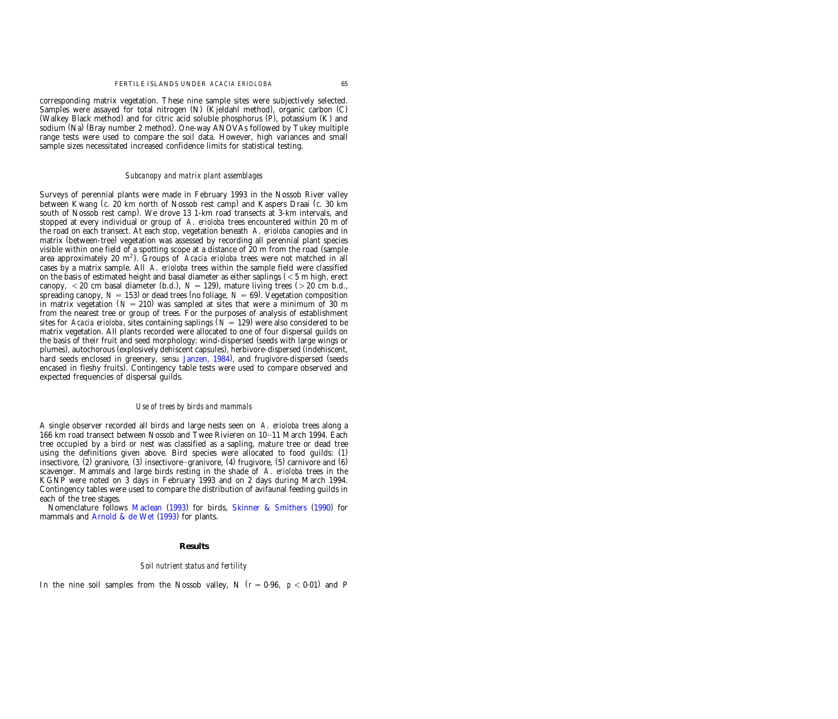corresponding matrix vegetation. These nine sample sites were subjectively selected. Samples were assayed for total nitrogen (N) (Kjeldahl method), organic carbon (C) (Walkey Black method) and for citric acid soluble phosphorus  $(P)$ , potassium  $(K)$  and sodium (Na) (Bray number 2 method). One-way ANOVAs followed by Tukey multiple range tests were used to compare the soil data. However, high variances and small sample sizes necessitated increased confidence limits for statistical testing.

## *Subcanopy and matrix plant assemblages*

Surveys of perennial plants were made in February 1993 in the Nossob River valley between Kwang (*c*. 20 km north of Nossob rest camp) and Kaspers Draai (*c*. 30 km south of Nossob rest camp). We drove 13 1-km road transects at 3-km intervals, and stopped at every individual or group of *A*. *erioloba* trees encountered within 20 m of the road on each transect. At each stop, vegetation beneath *A*. *erioloba* canopies and in matrix (between-tree) vegetation was assessed by recording all perennial plant species visible within one field of a spotting scope at a distance of 20 m from the road (sample area approximately 20 m<sup>2</sup>). Groups of *Acacia erioloba* trees were not matched in all cases by a matrix sample. All *A*. *erioloba* trees within the sample field were classified on the basis of estimated height and basal diameter as either saplings  $(< 5 \text{ m}$  high, erect canopy,  $\langle 20 \text{ cm}$  basal diameter (b.d.),  $N = 129$ ), mature living trees ( $> 20 \text{ cm}$  b.d., spreading canopy,  $N = 153$ ) or dead trees (no foliage,  $N = 69$ ). Vegetation composition in matrix vegetation  $(N = 210)$  was sampled at sites that were a minimum of 30 m from the nearest tree or group of trees. For the purposes of analysis of establishment sites for *Acacia erioloba*, sites containing saplings  $(N = 129)$  were also considered to be matrix vegetation. All plants recorded were allocated to one of four dispersal guilds on the basis of their fruit and seed morphology: wind-dispersed (seeds with large wings or plumes), autochorous (explosively dehiscent capsules), herbivore-dispersed (indehiscent, hard seeds enclosed in greenery, *sensu* [Janzen,](#page-14-0) 1984), and frugivore-dispersed (seeds encased in fleshy fruits). Contingency table tests were used to compare observed and expected frequencies of dispersal guilds.

## *Use of trees by birds and mammals*

A single observer recorded all birds and large nests seen on *A*. *erioloba* trees along a 166 km road transect between Nossob and Twee Rivieren on 10–11 March 1994. Each tree occupied by a bird or nest was classified as a sapling, mature tree or dead tree using the definitions given above. Bird species were allocated to food guilds:  $(1)$ insectivore,  $(2)$  granivore,  $(3)$  insectivore-granivore,  $(4)$  frugivore,  $(5)$  carnivore and  $(6)$ scavenger. Mammals and large birds resting in the shade of *A*. *erioloba* trees in the KGNP were noted on 3 days in February 1993 and on 2 days during March 1994. Contingency tables were used to compare the distribution of avifaunal feeding guilds in each of the tree stages.

Nomenclature follows [Maclean](#page-14-0) (1993) for birds, Skinner & [Smithers](#page-14-0) (1990) for mammals and [Arnold](#page-13-0) & de Wet  $(1993)$  for plants.

#### **Results**

#### *Soil nutrient status and fertility*

In the nine soil samples from the Nossob valley, N  $(r = 0.96, p < 0.01)$  and P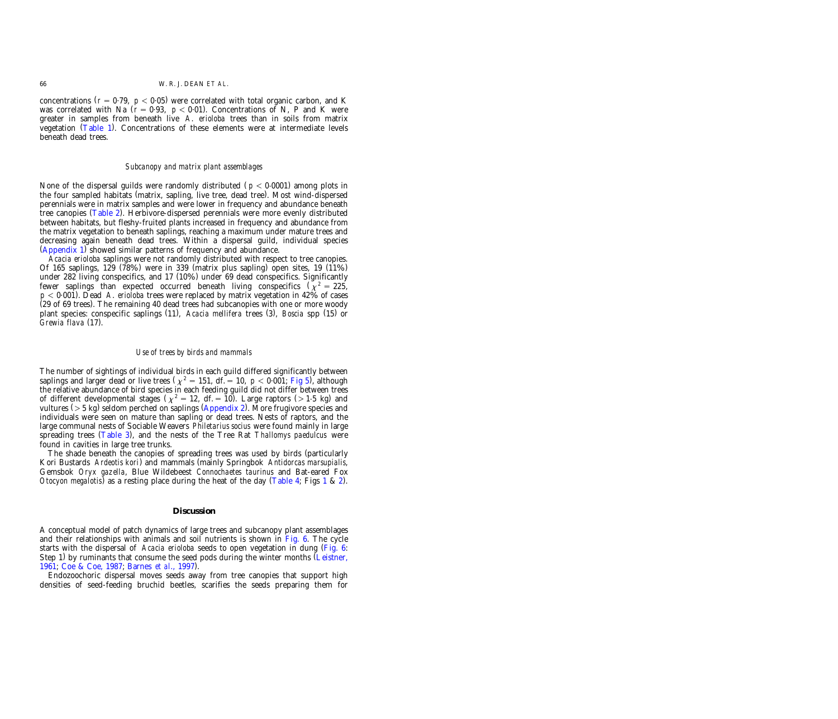concentrations  $(r = 0.79, p < 0.05)$  were correlated with total organic carbon, and K was correlated with Na  $(r = 0.93, p < 0.01)$ . Concentrations of N, P and K were greater in samples from beneath live *A*. *erioloba* trees than in soils from matrix vegetation  $(Table 1)$ . Concentrations of these elements were at intermediate levels beneath dead trees.

#### *Subcanopy and matrix plant assemblages*

None of the dispersal guilds were randomly distributed  $p < 0.0001$  among plots in the four sampled habitats (matrix, sapling, live tree, dead tree). Most wind-dispersed perennials were in matrix samples and were lower in frequency and abundance beneath tree canopies (Table 2). Herbivore-dispersed perennials were more evenly distributed between habitats, but fleshy-fruited plants increased in frequency and abundance from the matrix vegetation to beneath saplings, reaching a maximum under mature trees and decreasing again beneath dead trees. Within a dispersal guild, individual species  $(Appendix 1)$  showed similar patterns of frequency and abundance.

*Acacia erioloba* saplings were not randomly distributed with respect to tree canopies. Of 165 saplings, 129 (78%) were in 339 (matrix plus sapling) open sites, 19 (11%) under  $282$  living conspecifics, and  $17$  ( $10\%$ ) under  $69$  dead conspecifics. Significantly fewer saplings than expected occurred beneath living conspecifics  $(\chi^2 = 225,$ *p* - 0.001). Dead *A*. *erioloba* trees were replaced by matrix vegetation in 42% of cases  $(29$  of 69 trees). The remaining 40 dead trees had subcanopies with one or more woody plant species: conspecific saplings (11), *Acacia mellifera* trees (3), *Boscia* spp (15) or *Grewia flava* (17).

#### *Use of trees by birds and mammals*

The number of sightings of individual birds in each guild differed significantly between saplings and larger dead or live trees  $\left(\chi^2 = 151, df = 10, p < 0.001$ ; Fig 5), although the relative abundance of bird species in each feeding guild did not differ between trees of different developmental stages ( $\chi^2 = 12$ , df. = 10). Large raptors (>1.5 kg) and vultures ( $>$  5 kg) seldom perched on saplings [\(Appendix](#page-16-0) 2). More frugivore species and individuals were seen on mature than sapling or dead trees. Nests of raptors, and the large communal nests of Sociable Weavers *Philetarius socius* were found mainly in large spreading trees (Table 3), and the nests of the Tree Rat *Thallomys paedulcus* were found in cavities in large tree trunks.

The shade beneath the canopies of spreading trees was used by birds (particularly Kori Bustards *Ardeotis kori*) ( and mammals mainly Springbok *Antidorcas marsupialis*, Gemsbok *Oryx gazella*, Blue Wildebeest *Connochaetes taurinus* and Bat-eared Fox *Otocyon megalotis*) as a resting place during the heat of the day [\(Table](#page-9-0) 4; Figs [1](#page-1-0) & [2\)](#page-2-0).

## **Discussion**

A conceptual model of patch dynamics of large trees and subcanopy plant assemblages and their relationships with animals and soil nutrients is shown in [Fig.](#page-10-0) 6. The cycle starts with the dispersal of *Acacia erioloba* seeds to open vegetation in dung [\(Fig.](#page-10-0) 6: Step 1) by ruminants that consume the seed pods during the winter months ([Leistner,](#page-14-0) [1961;](#page-14-0) Coe & Coe, [1987;](#page-13-0) [Barnes](#page-13-0) *et al*., 1997).

Endozoochoric dispersal moves seeds away from tree canopies that support high densities of seed-feeding bruchid beetles, scarifies the seeds preparing them for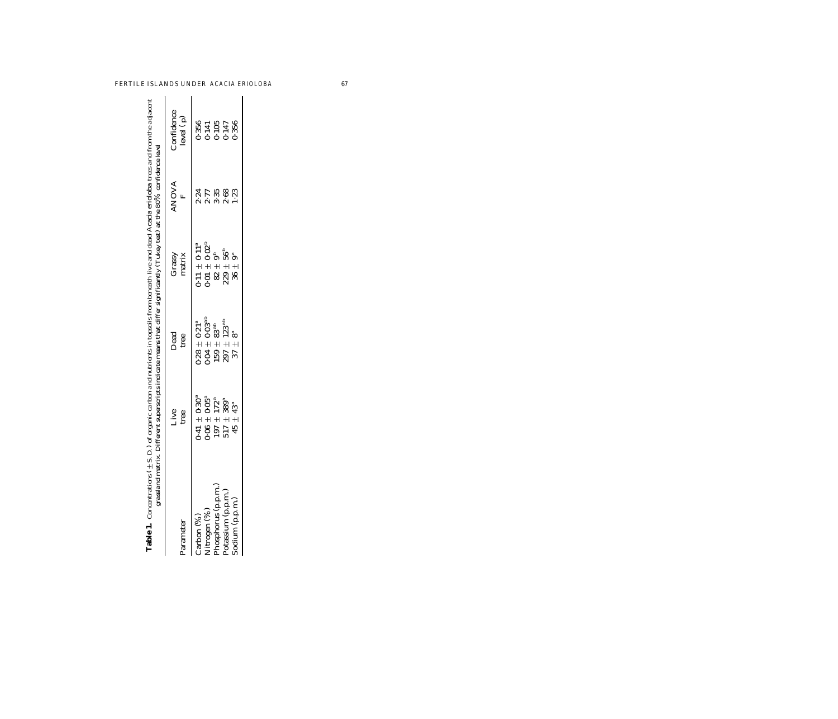<span id="page-6-0"></span>

| d trom                                               | $\ddot{\phantom{a}}$ |
|------------------------------------------------------|----------------------|
| $\ddotsc$                                            |                      |
|                                                      |                      |
|                                                      |                      |
|                                                      |                      |
|                                                      |                      |
|                                                      |                      |
| live and dead Acacia erioloba trees<br>$\frac{1}{2}$ |                      |
| יב<br>י                                              |                      |
|                                                      |                      |
| Ë.<br>S                                              |                      |
| $\ddot{\cdot}$<br>le trom he                         |                      |
| í                                                    |                      |
|                                                      |                      |
|                                                      |                      |
| on money                                             |                      |
| "hon and nutrients in tonsoils<br>i                  |                      |
|                                                      |                      |
| mononimete in                                        |                      |
|                                                      |                      |
| ;<br>;<br>;                                          |                      |
| $-2 - 2 - 3 - 4 - 1 = 1$                             |                      |
| ر.د.د. ۱<br>$1 - t$<br>$\frac{1}{1}$                 |                      |
| i                                                    |                      |
|                                                      |                      |
|                                                      |                      |
|                                                      |                      |
|                                                      |                      |
|                                                      |                      |

| Table 1. Concentrations (±S.D.) of organic carbon and nutrients in topsoils from beneath live and dead Acacia erioloba trees and from the adjacent<br>grassland matrix. Different superscripts indicate means that differ signifi |                                                                                                                                                           |                                                                                                                                                                         |                                                                                                      |                              |                                                     |
|-----------------------------------------------------------------------------------------------------------------------------------------------------------------------------------------------------------------------------------|-----------------------------------------------------------------------------------------------------------------------------------------------------------|-------------------------------------------------------------------------------------------------------------------------------------------------------------------------|------------------------------------------------------------------------------------------------------|------------------------------|-----------------------------------------------------|
| <sup>2</sup> arameter                                                                                                                                                                                                             | Live<br>tree                                                                                                                                              | Dead<br>tree                                                                                                                                                            | Grassy<br>matrix                                                                                     | <b>ANOVA</b><br>$\mathbf{r}$ | Confidence<br>level ( p)                            |
| Nitrogen (%)<br>Phosphorus (p.p.m.)<br>Potassium (p.p.m.)<br>sodium (p.p.m.)<br>$\overline{\text{c,arbon}}$ (%)                                                                                                                   | $\begin{array}{c} 0.41 \pm 0.30^{\mathrm{a}}\ 0.06 \pm 0.05^{\mathrm{a}}\ 197 \pm 172^{\mathrm{a}}\ 517 \pm 389^{\mathrm{a}}\ \end{array}$<br>$45 + 43^a$ | $\begin{array}{c} 0.28\,\pm\,0.21^{\mathrm{a}}\ 0.04\,\pm\,0.03^{\mathrm{a b}}\ 159\,\pm\,83^{\mathrm{a b}}\ 159\,\pm\,123^{\mathrm{a b}}\ \end{array}$<br>$37 \pm 8^a$ | $0.11 \pm 0.11^{a}$<br>$0.01 \pm 0.02^{b}$<br>$82 \pm 9^{b}$<br>$229 \pm 56^{b}$<br>$289 \pm 56^{b}$ | 2175823<br>2175823<br>21221  | $0.356$<br>$0.141$<br>$0.105$<br>$0.147$<br>$0.356$ |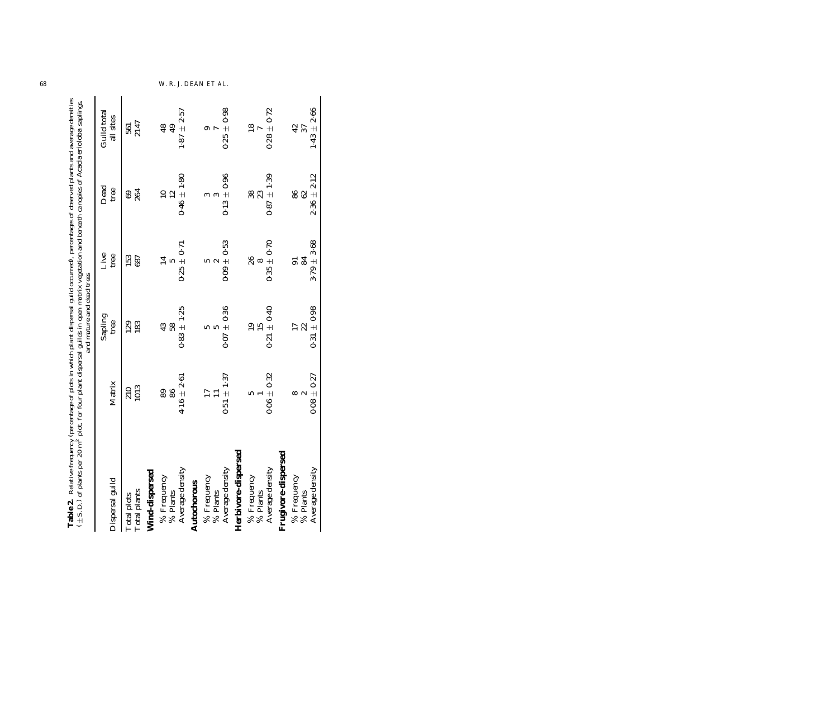| Table 2. Relative frequency (percentage of plots in which plant dispersal guild occurred), percentages of observed plants and average densities<br>(±S.D.) of plants per 20 m <sup>2</sup> plot, four plant dispersal guilds in open matrix |                 | and mature and dead trees |                        |                       |                          |
|---------------------------------------------------------------------------------------------------------------------------------------------------------------------------------------------------------------------------------------------|-----------------|---------------------------|------------------------|-----------------------|--------------------------|
| Dispersal guild                                                                                                                                                                                                                             | Matrix          | Sapling<br>tree           | Live<br>tree           | Dead<br>tree          | Guild total<br>all sites |
| Total plots<br>Total plants                                                                                                                                                                                                                 | 210<br>1013     | 129<br>183                | <b>153</b><br>687      | $rac{69}{264}$        | 561<br>2147              |
| Wind-dispersed                                                                                                                                                                                                                              |                 |                           |                        |                       |                          |
| % Frequency<br>$\%$ Plants                                                                                                                                                                                                                  | 89<br>86        | 43<br>58                  | $\overline{14}$<br>LC. | 12<br>$\overline{10}$ | $\overline{48}$<br>49    |
| Average density                                                                                                                                                                                                                             | $4.16 \pm 2.61$ | $0.83 + 1.25$             | $0.25 \pm 0.71$        | $0.46 \pm 1.80$       | $1.87 \pm 2.57$          |
| Autochorous                                                                                                                                                                                                                                 |                 |                           |                        |                       |                          |
| $\%$ Frequency $\%$ Plants                                                                                                                                                                                                                  | $\Box$          | ເດ<br>5                   | $\sim$<br>ທ            | $\infty$<br>∾         | ග<br>$\overline{r}$      |
| Average density                                                                                                                                                                                                                             | $0.51 \pm 1.37$ | $0.07 \pm 0.36$           | $0.09 \pm 0.53$        | $0.13 \pm 0.96$       | $0.25 \pm 0.98$          |
| Herbivore-dispersed                                                                                                                                                                                                                         |                 |                           |                        |                       |                          |
| % Frequency<br>$\%$ Plants                                                                                                                                                                                                                  | ທ               | $\overline{19}$<br>15     | 26<br>$\infty$         | 38<br>23              | $\overline{18}$          |
| Average density                                                                                                                                                                                                                             | $0.06 \pm 0.32$ | $0.21 \pm 0.40$           | $0.35 \pm 0.70$        | $0.87 \pm 1.39$       | $0.28 \pm 0.72$          |
| $r$ sed<br>Frugivore-disper                                                                                                                                                                                                                 |                 |                           |                        |                       |                          |
| % Frequency<br>% Plants                                                                                                                                                                                                                     | $\sim$<br>∞     | $\overline{17}$<br>22     | 84<br>$\overline{5}$   | 88                    | $rac{2}{3}$              |
| Average density                                                                                                                                                                                                                             | $0.08 \pm 0.27$ | $0.31 \pm 0.98$           | $3.79 \pm 3.68$        | $2.36 \pm 2.12$       | $1.43 \pm 2.66$          |

<span id="page-7-0"></span>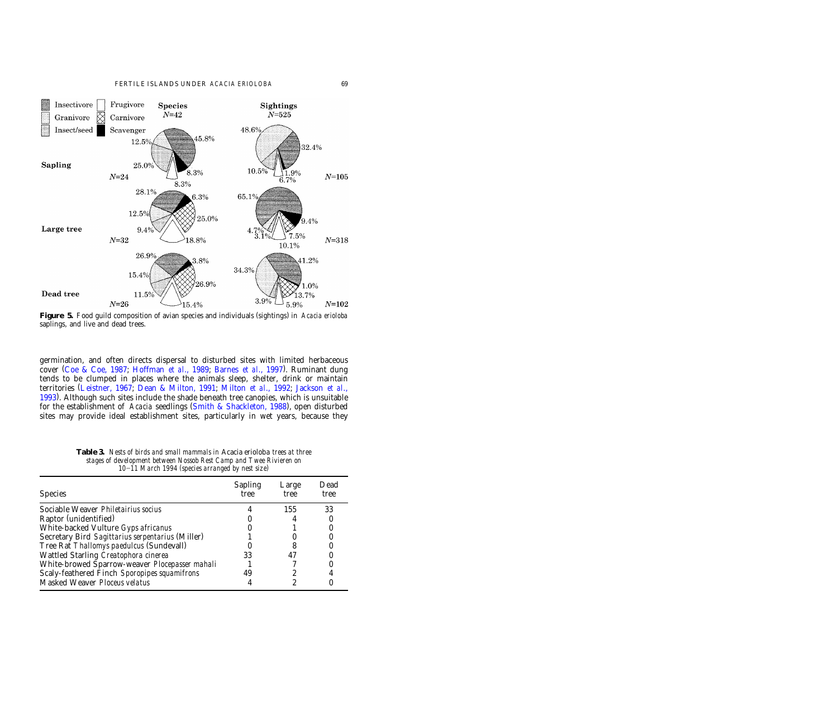<span id="page-8-0"></span>

**Figure 5.** Food guild composition of avian species and individuals (sightings) in *Acacia erioloba* saplings, and live and dead trees.

germination, and often directs dispersal to disturbed sites with limited herbaceous cover (Coe & Coe, 1987; Hoffman *et al.*, 1989; Barnes *et al.*, 1997). Ruminant dung tends to be clumped in places where the animals sleep, shelter, drink or maintain territories [\(Leistner,](#page-14-0) 1967; [Dean &](#page-13-0) Milton, 1991; [Milton](#page-14-0) *et al*., 1992; [Jackson](#page-14-0) *et al*., [1993\).](#page-14-0) Although such sites include the shade beneath tree canopies, which is unsuitable for the establishment of *Acacia* seedlings (Smith & Shackleton, 1988), open disturbed sites may provide ideal establishment sites, particularly in wet years, because they

| <b>Species</b>                                        | <b>Sapling</b><br>tree | Large<br>tree | Dead<br>tree |
|-------------------------------------------------------|------------------------|---------------|--------------|
| Sociable Weaver Philetairius socius                   |                        | 155           | 33           |
| Raptor (unidentified)                                 |                        |               |              |
| White-backed Vulture Gyps africanus                   |                        |               |              |
| Secretary Bird Sagittarius serpentarius (Miller)      |                        |               |              |
| Tree Rat Thallomys paedulcus (Sundevall)              |                        |               |              |
| Wattled Starling Creatophora cinerea                  | 33                     |               |              |
| White-browed Sparrow-weaver <i>Plocepasser mahali</i> |                        |               |              |
| Scaly-feathered Finch Sporopipes squamifrons          | 49                     |               |              |
| Masked Weaver Ploceus velatus                         |                        |               |              |

**Table 3.** *Nests of birds and small mammals in* Acacia erioloba *trees at three stages of development between Nossob Rest Camp and Twee Rivieren on 10*]*11 March 1994 (species arranged by nest size)*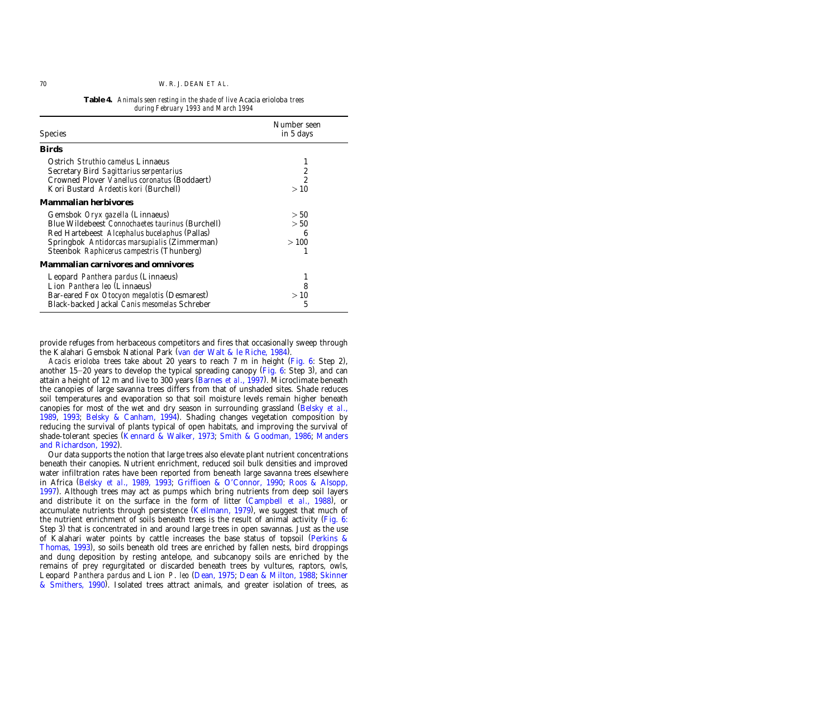<span id="page-9-0"></span>

| <b>Species</b>                                                                                                                                                                                                                    | Number seen<br>in 5 days  |
|-----------------------------------------------------------------------------------------------------------------------------------------------------------------------------------------------------------------------------------|---------------------------|
| <b>Birds</b>                                                                                                                                                                                                                      |                           |
| Ostrich <i>Struthio camelus</i> Linnaeus<br>Secretary Bird Sagittarius serpentarius<br>Crowned Plover Vanellus coronatus (Boddaert)<br>Kori Bustard Ardeotis kori (Burchell)                                                      | 1<br>2<br>2<br>>10        |
| Mammalian herbivores                                                                                                                                                                                                              |                           |
| Gemsbok Oryx gazella (Linnaeus)<br>Blue Wildebeest Connochaetes taurinus (Burchell)<br>Red Hartebeest Alcephalus bucelaphus (Pallas)<br>Springbok Antidorcas marsupialis (Zimmerman)<br>Steenbok Raphicerus campestris (Thunberg) | > 50<br>> 50<br>6<br>>100 |
| Mammalian carnivores and omnivores                                                                                                                                                                                                |                           |
| Leopard Panthera pardus (Linnaeus)<br>Lion Panthera leo (Linnaeus)<br>Bar-eared Fox Otocyon megalotis (Desmarest)<br>Black-backed Jackal Canis mesomelas Schreber                                                                 | 8<br>>10<br>5             |

**Table 4.** *Animals seen resting in the shade of live* Acacia erioloba *trees during February 1993 and March 1994*

provide refuges from herbaceous competitors and fires that occasionally sweep through the Kalahari Gemsbok National Park (van der Walt & le Riche, 1984).

*Acacis erioloba* trees take about 20 years to reach 7 m in height [\(](#page-10-0)Fig. 6: Step 2), another 15–20 years to develop the typical spreading canopy [\(](#page-10-0)Fig. 6: Step 3), and can attain a height of 12 m and live to 300 years (Barnes *et al.*, 1997). Microclimate beneath the canopies of large savanna trees differs from that of unshaded sites. Shade reduces soil temperatures and evaporation so that soil moisture levels remain higher beneath canopies for most of the wet and dry season in surrounding grassland [\(Belsky](#page-13-0) *et al*., [1989,](#page-13-0) 1993; Belsky & [Canham,](#page-13-0) 1994). Shading changes vegetation composition by reducing the survival of plants typical of open habitats, and improving the survival of shade-tolerant species [\(Kennard](#page-14-0) & Walker, 1973; Smith & [Goodman,](#page-14-0) 1986; [Manders](#page-14-0) and [Richardson,](#page-14-0) 1992).

Our data supports the notion that large trees also elevate plant nutrient concentrations beneath their canopies. Nutrient enrichment, reduced soil bulk densities and improved water infiltration rates have been reported from beneath large savanna trees elsewhere in Africa [\(Belsky](#page-13-0) *et al*., 1989, 1993; [Griffioen &](#page-13-0) O'Connor, 1990; Roos & [Alsopp,](#page-14-0) [1997\)](#page-14-0). Although trees may act as pumps which bring nutrients from deep soil layers and distribute it on the surface in the form of litter (Campbell *et al.*, 1988), or accumulate nutrients through persistence  $(Kellmann, 1979)$ , we suggest that much of the nutrient enrichment of soils beneath trees is the result of animal activity [\(Fig.](#page-10-0) 6: Step 3) that is concentrated in and around large trees in open savannas. Just as the use of Kalahari water points by cattle increases the base status of topsoil [\(Perkins](#page-14-0)  $\&$ [Thomas,](#page-14-0) 1993), so soils beneath old trees are enriched by fallen nests, bird droppings and dung deposition by resting antelope, and subcanopy soils are enriched by the remains of prey regurgitated or discarded beneath trees by vultures, raptors, owls, Leopard *Panthera pardus* and Lion *P*. *leo* [\(Dean,](#page-13-0) 1975; [Dean &](#page-13-0) Milton, 1988; [Skinner](#page-14-0) & [Smithers,](#page-14-0) 1990). Isolated trees attract animals, and greater isolation of trees, as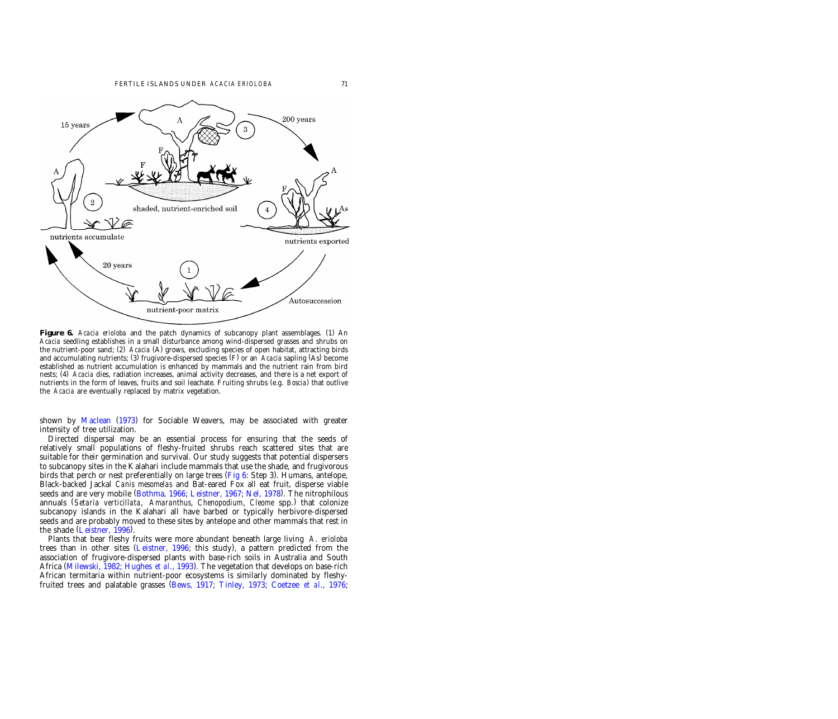<span id="page-10-0"></span>

**Figure 6.** *Acacia erioloba* and the patch dynamics of subcanopy plant assemblages. (1) An *Acacia* seedling establishes in a small disturbance among wind-dispersed grasses and shrubs on the nutrient-poor sand; (2) *Acacia* (A) grows, excluding species of open habitat, attracting birds and accumulating nutrients; (3) frugivore-dispersed species (F) or an *Acacia* sapling (As) become established as nutrient accumulation is enhanced by mammals and the nutrient rain from bird nests; (4) *Acacia* dies, radiation increases, animal activity decreases, and there is a net export of nutrients in the form of leaves, fruits and soil leachate. Fruiting shrubs (e.g. *Boscia*) that outlive the *Acacia* are eventually replaced by matrix vegetation.

shown by [Maclean](#page-14-0) (1973) for Sociable Weavers, may be associated with greater intensity of tree utilization.

Directed dispersal may be an essential process for ensuring that the seeds of relatively small populations of fleshy-fruited shrubs reach scattered sites that are suitable for their germination and survival. Our study suggests that potential dispersers to subcanopy sites in the Kalahari include mammals that use the shade, and frugivorous birds that perch or nest preferentially on large trees ( $Fig 6: Step 3$ ). Humans, antelope, Black-backed Jackal *Canis mesomelas* and Bat-eared Fox all eat fruit, disperse viable seeds and are very mobile [\(](#page-13-0)Bothma, 1966; Leistner, 1967; Nel, 1978). The nitrophilous annuals ( ) *Setaria verticillata*, *Amaranthus*, *Chenopodium*, *Cleome* spp. that colonize subcanopy islands in the Kalahari all have barbed or typically herbivore-dispersed seeds and are probably moved to these sites by antelope and other mammals that rest in the shade  $(L$ eistner, 1996).

Plants that bear fleshy fruits were more abundant beneath large living *A*. *erioloba* trees than in other sites [\(](#page-14-0)Leistner, 1996; this study), a pattern predicted from the association of frugivore-dispersed plants with base-rich soils in Australia and South Africa (Milewski, 1982; Hughes *et al.*, 1993). The vegetation that develops on base-rich African termitaria within nutrient-poor ecosystems is similarly dominated by fleshyfruited trees and palatable grasses [\(Bews,](#page-13-0) 1917; [Tinley,](#page-15-0) 1973; [Coetzee](#page-13-0) *et al*., 1976;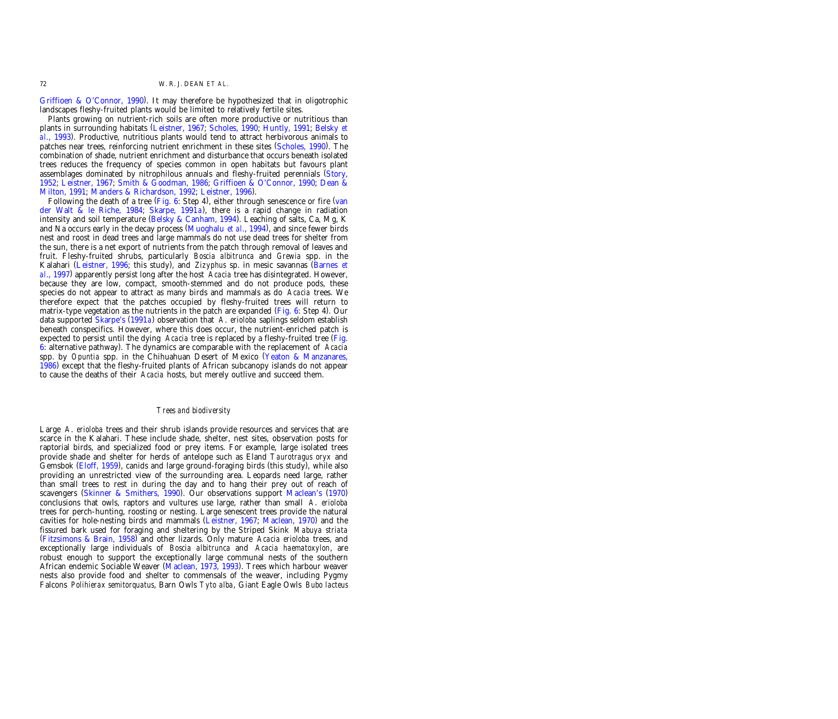Griffioen & [O'Connor,](#page-13-0) 1990). It may therefore be hypothesized that in oligotrophic landscapes fleshy-fruited plants would be limited to relatively fertile sites.

Plants growing on nutrient-rich soils are often more productive or nutritious than plants in surrounding habitats [\(Leistner,](#page-14-0) 1967; [Scholes,](#page-14-0) 1990; [Huntly,](#page-14-0) 1991; [Belsky](#page-13-0) *et al*., [1993\)](#page-13-0). Productive, nutritious plants would tend to attract herbivorous animals to patches near trees, reinforcing nutrient enrichment in these sites (Scholes, 1990). The combination of shade, nutrient enrichment and disturbance that occurs beneath isolated trees reduces the frequency of species common in open habitats but favours plant assemblages dominated by nitrophilous annuals and fleshy-fruited perennials [\(Story,](#page-15-0) [1952;](#page-15-0) [Leistner,](#page-14-0) 1967; Smith & [Goodman,](#page-14-0) 1986; [Griffioen &](#page-13-0) O'Connor, 1990; [Dean](#page-13-0) & [Milton,](#page-13-0) 1991; Manders & [Richardson,](#page-14-0) 1992; [Leistner,](#page-14-0) 1996).

Following the death of a tree [\(](#page-10-0)Fig. 6: Step 4), either through senescence or fire [\(van](#page-15-0) der Walt & le [Riche,](#page-15-0) 1984; [Skarpe,](#page-14-0) 1991*a*), there is a rapid change in radiation intensity and soil temperature (Belsky & Canham, 1994). Leaching of salts, Ca, Mg, K and Na occurs early in the decay process (Muoghalu *et al.*, 1994), and since fewer birds nest and roost in dead trees and large mammals do not use dead trees for shelter from the sun, there is a net export of nutrients from the patch through removal of leaves and fruit. Fleshy-fruited shrubs, particularly *Boscia albitrunca* and *Grewia* spp. in the Kalahari [\(](#page-14-0)Leistner, 1996; this study), and *Zizyphus* sp. in mesic savannas [\(Barnes](#page-13-0) *et al*., [1997\)](#page-13-0) apparently persist long after the host *Acacia* tree has disintegrated. However, because they are low, compact, smooth-stemmed and do not produce pods, these species do not appear to attract as many birds and mammals as do *Acacia* trees. We therefore expect that the patches occupied by fleshy-fruited trees will return to matrix-type vegetation as the nutrients in the patch are expanded [\(](#page-10-0)Fig. 6: Step 4). Our data supported [Skarpe's](#page-14-0) (1991*a*) observation that *A. erioloba* saplings seldom establish beneath conspecifics. However, where this does occur, the nutrient-enriched patch is expected to persist until the dying *Acacia* tree is replaced by a fleshy-fruited tree [\(Fig.](#page-10-0) [6:](#page-10-0) alternative pathway .) The dynamics are comparable with the replacement of *Acacia* spp. by *Opuntia* spp. in the Chihuahuan Desert of Mexico (Yeaton & [Manzanares,](#page-15-0) [1986\)](#page-15-0) except that the fleshy-fruited plants of African subcanopy islands do not appear to cause the deaths of their *Acacia* hosts, but merely outlive and succeed them.

## *Trees and biodiversity*

Large *A*. *erioloba* trees and their shrub islands provide resources and services that are scarce in the Kalahari. These include shade, shelter, nest sites, observation posts for raptorial birds, and specialized food or prey items. For example, large isolated trees provide shade and shelter for herds of antelope such as Eland *Taurotragus oryx* and Gemsbok (Eloff, 1959), canids and large ground-foraging birds (this study), while also providing an unrestricted view of the surrounding area. Leopards need large, rather than small trees to rest in during the day and to hang their prey out of reach of scavengers (Skinner & Smithers, 1990). Our observations support [Maclean's](#page-14-0)  $(1970)$ conclusions that owls, raptors and vultures use large, rather than small *A*. *erioloba* trees for perch-hunting, roosting or nesting. Large senescent trees provide the natural cavities for hole-nesting birds and mammals (Leistner, 1967; Maclean, 1970) and the fissured bark used for foraging and sheltering by the Striped Skink *Mabuya striata* (Fitzsimons & Brain, 1958) and other lizards. Only mature *Acacia erioloba* trees, and exceptionally large individuals of *Boscia albitrunca* and *Acacia haematoxylon*, are robust enough to support the exceptionally large communal nests of the southern African endemic Sociable Weaver (Maclean, 1973, 1993). Trees which harbour weaver nests also provide food and shelter to commensals of the weaver, including Pygmy Falcons *Polihierax semitorquatus*, Barn Owls *Tyto alba*, Giant Eagle Owls *Bubo lacteus*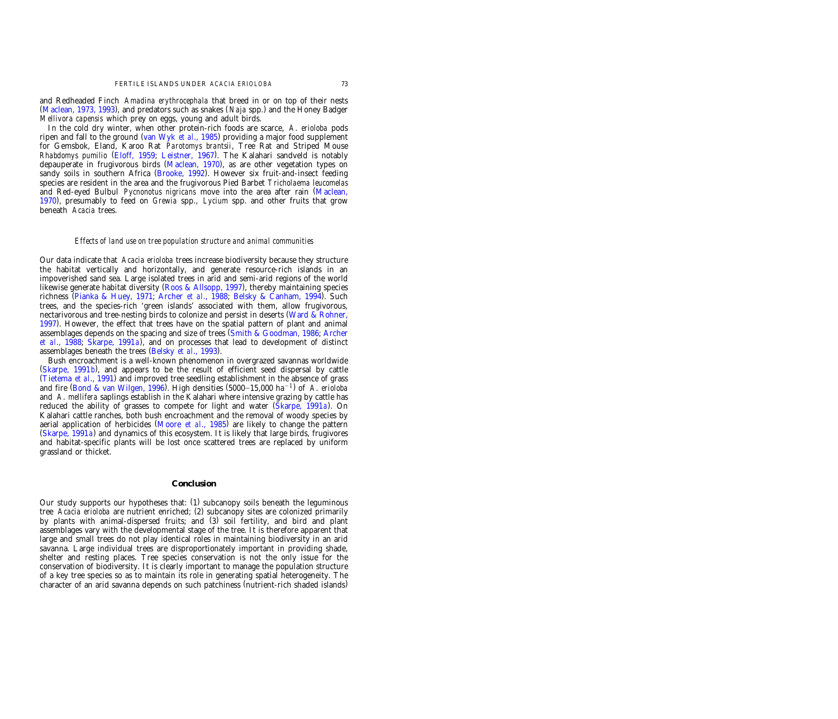and Redheaded Finch *Amadina erythrocephala* that breed in or on top of their nests (Maclean, 1973, 1993), and predators such as snakes (*Naja* spp.) and the Honey Badger *Mellivora capensis* which prey on eggs, young and adult birds.

In the cold dry winter, when other protein-rich foods are scarce, *A*. *erioloba* pods ripen and fall to the ground (van Wyk *et al.*, 1985) providing a major food supplement for Gemsbok, Eland, Karoo Rat *Parotomys brantsii*, Tree Rat and Striped Mouse *Rhabdomys pumilio* [\(](#page-13-0)Eloff, 1959; Leistner, 1967). The Kalahari sandveld is notably depauperate in frugivorous birds (Maclean, 1970), as are other vegetation types on sandy soils in southern Africa (Brooke, 1992). However six fruit-and-insect feeding species are resident in the area and the frugivorous Pied Barbet *Tricholaema leucomelas* and Red-eyed Bulbul *Pycnonotus nigricans* move into the area after rain [\(Maclean,](#page-14-0) [1970\),](#page-14-0) presumably to feed on *Grewia* spp., *Lycium* spp. and other fruits that grow beneath *Acacia* trees.

## *Effects of land use on tree population structure and animal communities*

Our data indicate that *Acacia erioloba* trees increase biodiversity because they structure the habitat vertically and horizontally, and generate resource-rich islands in an impoverished sand sea. Large isolated trees in arid and semi-arid regions of the world likewise generate habitat diversity (Roos & Allsopp, 1997), thereby maintaining species richness [\(](#page-14-0)Pianka & Huey, 1971; Archer *et al.*, 1988; Belsky & Canham, 1994). Such trees, and the species-rich 'green islands' associated with them, allow frugivorous, nectarivorous and tree-nesting birds to colonize and persist in deserts [\(Ward &](#page-15-0) Rohner, [1997\)](#page-15-0). However, the effect that trees have on the spatial pattern of plant and animal assemblages depends on the spacing and size of trees (Smith & [Goodman,](#page-14-0) 1986; [Archer](#page-13-0) *et al*., [1988;](#page-13-0) [Skarpe,](#page-14-0) 1991*a*), and on processes that lead to development of distinct assemblages beneath the trees (Belsky *et al.*, 1993).

Bush encroachment is a well-known phenomenon in overgrazed savannas worldwide  $(Skarpe, 1991b)$ , and appears to be the result of efficient seed dispersal by cattle (Tietema *et al.*, 1991) and improved tree seedling establishment in the absence of grass and fire (Bond & van [Wilgen,](#page-13-0) 1996). High densities (5000–15,000 ha<sup>-1</sup>) of *A. erioloba* and *A*. *mellifera* saplings establish in the Kalahari where intensive grazing by cattle has reduced the ability of grasses to compete for light and water (Skarpe, 1991*a*). On Kalahari cattle ranches, both bush encroachment and the removal of woody species by aerial application of herbicides [\(](#page-14-0)Moore *et al.*, 1985) are likely to change the pattern (Skarpe, 1991*a*) and dynamics of this ecosystem. It is likely that large birds, frugivores and habitat-specific plants will be lost once scattered trees are replaced by uniform grassland or thicket.

## **Conclusion**

Our study supports our hypotheses that: (1) subcanopy soils beneath the leguminous tree *Acacia erioloba* are nutrient enriched; (2) subcanopy sites are colonized primarily by plants with animal-dispersed fruits; and (3) soil fertility, and bird and plant assemblages vary with the developmental stage of the tree. It is therefore apparent that large and small trees do not play identical roles in maintaining biodiversity in an arid savanna. Large individual trees are disproportionately important in providing shade, shelter and resting places. Tree species conservation is not the only issue for the conservation of biodiversity. It is clearly important to manage the population structure of a key tree species so as to maintain its role in generating spatial heterogeneity. The character of an arid savanna depends on such patchiness (nutrient-rich shaded islands)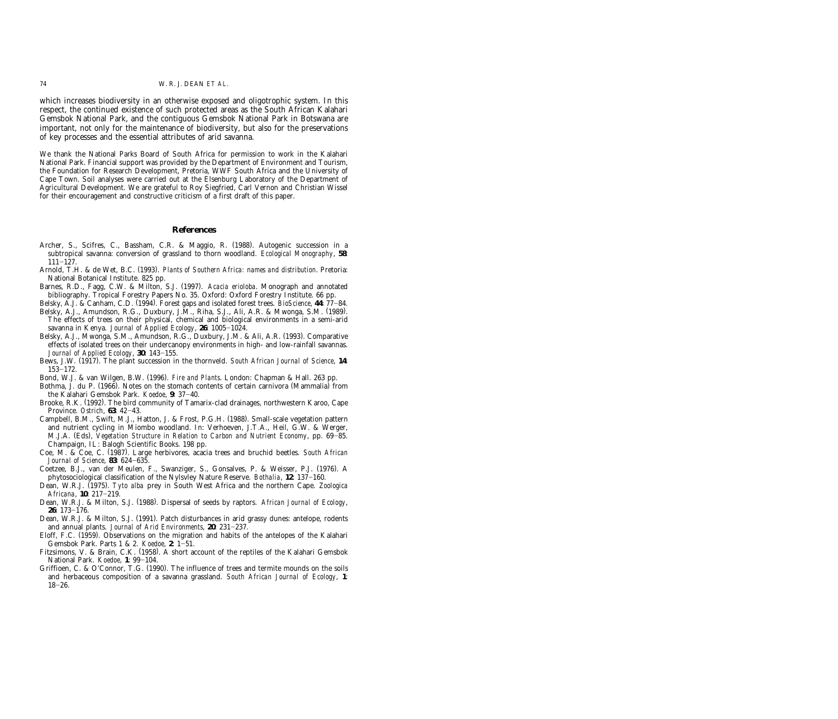<span id="page-13-0"></span>which increases biodiversity in an otherwise exposed and oligotrophic system. In this respect, the continued existence of such protected areas as the South African Kalahari Gemsbok National Park, and the contiguous Gemsbok National Park in Botswana are important, not only for the maintenance of biodiversity, but also for the preservations of key processes and the essential attributes of arid savanna.

We thank the National Parks Board of South Africa for permission to work in the Kalahari National Park. Financial support was provided by the Department of Environment and Tourism, the Foundation for Research Development, Pretoria, WWF South Africa and the University of Cape Town. Soil analyses were carried out at the Elsenburg Laboratory of the Department of Agricultural Development. We are grateful to Roy Siegfried, Carl Vernon and Christian Wissel for their encouragement and constructive criticism of a first draft of this paper.

# **References**

- Archer, S., Scifres, C., Bassham, C.R. & Maggio, R. (1988). Autogenic succession in a subtropical savanna: conversion of grassland to thorn woodland. *Ecological Monography*, **58**:  $111 - 127.$
- Arnold, T.H. & de Wet, B.C. (1993). *Plants of Southern Africa: names and distribution*. Pretoria: National Botanical Institute. 825 pp.
- Barnes, R.D., Fagg, C.W. & Milton, S.J. (1997). *Acacia erioloba*. Monograph and annotated bibliography. Tropical Forestry Papers No. 35. Oxford: Oxford Forestry Institute. 66 pp.
- Belsky, A.J. & Canham, C.D. (1994). Forest gaps and isolated forest trees. *BioScience*, 44: 77–84.
- Belsky, A.J., Amundson, R.G., Duxbury, J.M., Riha, S.J., Ali, A.R. & Mwonga, S.M. (1989). The effects of trees on their physical, chemical and biological environments in a semi-arid savanna in Kenya. *Journal of Applied Ecology*, 26: 1005-1024.
- Belsky, A.J., Mwonga, S.M., Amundson, R.G., Duxbury, J.M. & Ali, A.R. (1993). Comparative effects of isolated trees on their undercanopy environments in high- and low-rainfall savannas. *Journal of Applied Ecology*, 30: 143-155.
- Bews, J.W. (1917). The plant succession in the thornveld. *South African Journal of Science*, 14:  $153 - 172.$
- Bond, W.J. & van Wilgen, B.W. (1996). *Fire and Plants*. London: Chapman & Hall. 263 pp.
- Bothma, J. du P. (1966). Notes on the stomach contents of certain carnivora (Mammalia) from the Kalahari Gemsbok Park. *Koedoe*, 9: 37-40.
- Brooke, R.K. (1992). The bird community of Tamarix-clad drainages, northwestern Karoo, Cape Province. *Ostrich*, 63: 42-43.
- Campbell, B.M., Swift, M.J., Hatton, J. & Frost, P.G.H. (1988). Small-scale vegetation pattern and nutrient cycling in Miombo woodland. In: Verhoeven, J.T.A., Heil, G.W. & Werger, M.J.A. (Eds), *Vegetation Structure in Relation to Carbon and Nutrient Economy*, pp. 69–85. Champaign, IL: Balogh Scientific Books. 198 pp.
- Coe, M. & Coe, C. (1987). Large herbivores, acacia trees and bruchid beetles. South African *Journal of Science*, 83: 624-635.
- Coetzee, B.J., van der Meulen, F., Swanziger, S., Gonsalves, P. & Weisser, P.J. (1976). A phytosociological classification of the Nylsvley Nature Reserve. *Bothalia*, 12: 137-160.
- Dean, W.R.J. (1975). Tyto alba prey in South West Africa and the northern Cape. *Zoologica Africana*, 10: 217-219.
- Dean, W.R.J. & Milton, S.J. (1988). Dispersal of seeds by raptors. African Journal of Ecology, 26: 173-176.
- Dean, W.R.J. & Milton, S.J. (1991). Patch disturbances in arid grassy dunes: antelope, rodents and annual plants. *Journal of Arid Environments*, 20: 231-237.
- Eloff, F.C. (1959). Observations on the migration and habits of the antelopes of the Kalahari Gemsbok Park. Parts 1 & 2. *Koedoe*, 2: 1-51.
- Fitzsimons, V. & Brain, C.K. (1958). A short account of the reptiles of the Kalahari Gemsbok National Park. *Koedoe*, 1: 99-104.
- Griffioen, C. & O'Connor, T.G.  $(1990)$ . The influence of trees and termite mounds on the soils and herbaceous composition of a savanna grassland. *South African Journal of Ecology*, **1**:  $18 - 26.$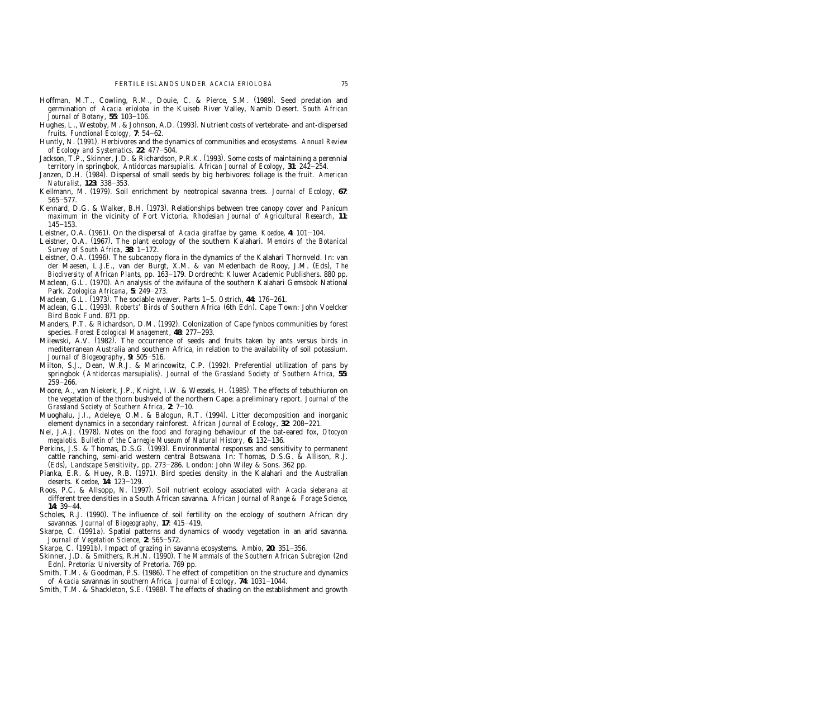- <span id="page-14-0"></span>Hoffman, M.T., Cowling, R.M., Douie, C. & Pierce, S.M. (1989). Seed predation and germination of *Acacia erioloba* in the Kuiseb River Valley, Namib Desert. *South African Journal of Botany*, 55: 103-106.
- Hughes, L., Westoby, M. & Johnson, A.D. (1993). Nutrient costs of vertebrate- and ant-dispersed fruits. *Functional Ecology*, 7: 54–62.
- Huntly, N. (1991). Herbivores and the dynamics of communities and ecosystems. Annual Review *of Ecology and Systematics*, 22: 477-504.
- Jackson, T.P., Skinner, J.D. & Richardson, P.R.K. (1993). Some costs of maintaining a perennial territory in springbok, *Antidorcas marsupialis. African Journal of Ecology*, 31: 242–254.
- Janzen, D.H. (1984). Dispersal of small seeds by big herbivores: foliage is the fruit. *American Naturalist*, 123: 338–353.
- Kellmann, M. (1979). Soil enrichment by neotropical savanna trees. Journal of Ecology, 67:  $565 - 577.$
- Kennard, D.G. & Walker, B.H. (1973). Relationships between tree canopy cover and *Panicum maximum* in the vicinity of Fort Victoria. *Rhodesian Journal of Agricultural Research*, **11**:  $145 - 153$ .
- Leistner, O.A. (1961). On the dispersal of *Acacia giraffae* by game. *Koedoe*, 4: 101-104.
- Leistner, O.A. (1967). The plant ecology of the southern Kalahari. *Memoirs of the Botanical Survey of South Africa*, 38: 1-172.
- Leistner, O.A. (1996). The subcanopy flora in the dynamics of the Kalahari Thornveld. In: van der Maesen, L.J.E., van der Burgt, X.M. & van Medenbach de Rooy, J.M. (Eds), *The Biodiversity of African Plants*, pp. 163-179. Dordrecht: Kluwer Academic Publishers. 880 pp.
- Maclean, G.L. (1970). An analysis of the avifauna of the southern Kalahari Gemsbok National Park. *Zoologica Africana*, 5: 249-273.
- Maclean, G.L. (1973). The sociable weaver. Parts 1-5. *Ostrich*, 44: 176-261.
- Maclean, G.L. (1993). *Roberts' Birds of Southern Africa* (6th Edn). Cape Town: John Voelcker Bird Book Fund. 871 pp.
- Manders, P.T. & Richardson, D.M. (1992). Colonization of Cape fynbos communities by forest species. *Forest Ecological Management*, 48: 277-293.
- Milewski, A.V. (1982). The occurrence of seeds and fruits taken by ants versus birds in mediterranean Australia and southern Africa, in relation to the availability of soil potassium. *Journal of Biogeography*, 9: 505-516.
- Milton, S.J., Dean, W.R.J. & Marincowitz, C.P. (1992). Preferential utilization of pans by springbok (Antidorcas marsupialis). *Journal of the Grassland Society of Southern Africa*, 55:  $259 - 266.$
- Moore, A., van Niekerk, J.P., Knight, I.W. & Wessels, H. (1985). The effects of tebuthiuron on the vegetation of the thorn bushveld of the northern Cape: a preliminary report. *Journal of the Grassland Society of Southern Africa, 2: 7-10.*
- Muoghalu, J.I., Adeleye, O.M. & Balogun, R.T. (1994). Litter decomposition and inorganic element dynamics in a secondary rainforest. African Journal of Ecology, 32: 208-221.
- Nel, J.A.J. (1978). Notes on the food and foraging behaviour of the bat-eared fox, *Otocyon megalotis. Bulletin of the Carnegie Museum of Natural History, 6: 132-136.*
- Perkins, J.S. & Thomas, D.S.G. (1993). Environmental responses and sensitivity to permanent cattle ranching, semi-arid western central Botswana. In: Thomas, D.S.G. & Allison, R.J. (Eds), *Landscape Sensitivity*, pp. 273–286. London: John Wiley & Sons. 362 pp.
- Pianka, E.R. & Huey, R.B. (1971). Bird species density in the Kalahari and the Australian deserts. *Koedoe*, 14: 123-129.
- Roos, P.C. & Allsopp, N. (1997). Soil nutrient ecology associated with *Acacia sieberana* at different tree densities in a South African savanna. *African Journal of Range & Forage Science*, 14: 39-44.
- Scholes, R.J. (1990). The influence of soil fertility on the ecology of southern African dry savannas. *Journal of Biogeography*, 17: 415-419.
- Skarpe, C. (1991 *a*). Spatial patterns and dynamics of woody vegetation in an arid savanna. *Journal of Vegetation Science*, 2: 565-572.
- Skarpe, C. (1991*b*). Impact of grazing in savanna ecosystems. *Ambio*, 20: 351–356.
- Skinner, J.D. & Smithers, R.H.N. (1990). The Mammals of the Southern African Subregion (2nd Edn). Pretoria: University of Pretoria. 769 pp.
- Smith, T.M. & Goodman, P.S. (1986). The effect of competition on the structure and dynamics of *Acacia* savannas in southern Africa. *Journal of Ecology*, 74: 1031-1044.
- Smith, T.M. & Shackleton, S.E. (1988). The effects of shading on the establishment and growth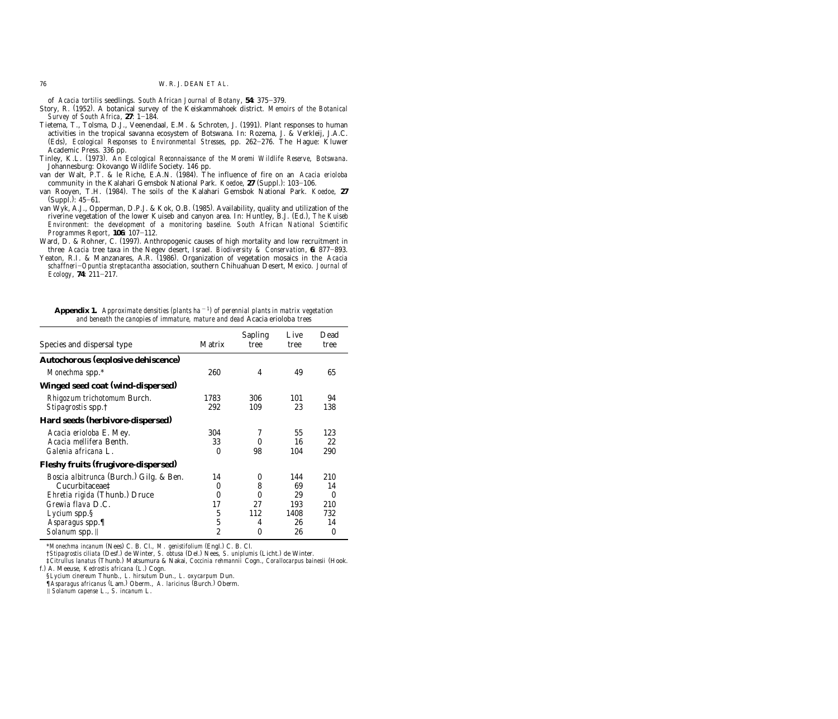of *Acacia tortilis* seedlings. *South African Journal of Botany*, 54: 375–379.

- <span id="page-15-0"></span>Story, R. (1952). A botanical survey of the Keiskammahoek district. *Memoirs of the Botanical Survey of South Africa*, 27: 1-184.
- Tietema, T., Tolsma, D.J., Veenendaal, E.M. & Schroten, J. (1991). Plant responses to human activities in the tropical savanna ecosystem of Botswana. In: Rozema, J. & Verkleij, J.A.C. (Eds), *Ecological Responses to Environmental Stresses*, pp. 262-276. The Hague: Kluwer Academic Press. 336 pp.
- Tinley, K.L. (1973). An Ecological Reconnaissance of the Moremi Wildlife Reserve, Botswana. Johannesburg: Okovango Wildlife Society. 146 pp.
- van der Walt, P.T. & le Riche, E.A.N. (1984). The influence of fire on an *Acacia erioloba* community in the Kalahari Gemsbok National Park. *Koedoe*, 27 (Suppl.): 103–106.
- van Rooyen, T.H. (1984). The soils of the Kalahari Gemsbok National Park. Koedoe, 27  $(Suppl.): 45–61.$
- van Wyk, A.J., Opperman, D.P.J. & Kok, O.B.  $(1985)$ . Availability, quality and utilization of the riverine vegetation of the lower Kuiseb and canyon area. In: Huntley, B.J. (Ed.), *The Kuiseb Environment: the development of a monitoring baseline. South African National Scientific Programmes Report*, 106: 107-112.
- Ward, D. & Rohner, C. (1997). Anthropogenic causes of high mortality and low recruitment in three *Acacia* tree taxa in the Negev desert, Israel. *Biodiversity & Conservation*, 6: 877-893.
- Yeaton, R.I. & Manzanares, A.R. (1986). Organization of vegetation mosaics in the *Acacia schaffneri*]*Opuntia streptacantha* association, southern Chihuahuan Desert, Mexico. *Journal of Ecology*, 74: 211-217.

| Species and dispersal type                                                                                             | Matrix                                             | <b>Sapling</b><br>tree | Live<br>tree           | Dead<br>tree                  |
|------------------------------------------------------------------------------------------------------------------------|----------------------------------------------------|------------------------|------------------------|-------------------------------|
| Autochorous (explosive dehiscence)                                                                                     |                                                    |                        |                        |                               |
| Monechma spp.*                                                                                                         | 260                                                | 4                      | 49                     | 65                            |
| Winged seed coat (wind-dispersed)                                                                                      |                                                    |                        |                        |                               |
| Rhigozum trichotomum Burch.<br><i>Stipagrostis</i> spp. <sup>†</sup>                                                   | 1783<br>292                                        | 306<br>109             | 101<br>23              | 94<br>138                     |
| Hard seeds (herbivore-dispersed)                                                                                       |                                                    |                        |                        |                               |
| <i>Acacia erioloba E. Mey.</i><br>Acacia mellifera Benth.<br>Galenia africana L.                                       | 304<br>33<br>$\theta$                              | 7<br>0<br>98           | 55<br>16<br>104        | 123<br>22<br>290              |
| Fleshy fruits (frugivore-dispersed)                                                                                    |                                                    |                        |                        |                               |
| <i>Boscia albitrunca</i> (Burch.) Gilg. & Ben.<br>Cucurbitaceae‡<br>Ehretia rigida (Thunb.) Druce<br>Grewia flava D.C. | 14<br>0<br>$\theta$<br>17                          | 0<br>8<br>0<br>27      | 144<br>69<br>29<br>193 | 210<br>14<br>0<br>210         |
| <i>Lycium</i> spp.§<br>Asparagus spp.<br>Solanum spp.                                                                  | $\overline{5}$<br>$\overline{5}$<br>$\overline{2}$ | 112<br>4<br>$\theta$   | 1408<br>26<br>26       | 732<br>14<br>$\boldsymbol{0}$ |

Appendix 1. *Approximate densities (plants ha<sup>* $-1$ *</sup>) of perennial plants in matrix vegetation and beneath the canopies of immature, mature and dead* Acacia erioloba *trees*

\*Monechma incanum (Nees) C. B. Cl., *M. genistifolium* (Engl.) C. B. Cl.

 $\dagger$ *Stipagrostis ciliata* (Desf.) de Winter, *S. obtusa* (Del.) Nees, *S. uniplumis* (Licht.) de Winter.

<sup>‡</sup>*Citrullus lanatus* () ( Thunb. Matsumura & Nakai, *Coccinia rehmannii* Cogn., *Corallocarpus bainesii* Hook. f.) A. Meeuse, *Kedrostis africana* (L.) Cogn.

<sup>§</sup>*Lycium cinereum* Thunb., *L*. *hirsutum* Dun., *L*. *oxycarpum* Dun.

*<sup>[</sup>Asparagus africanus* (Lam.) Oberm., *A. laricinus* (Burch.) Oberm.

I *Solanum capense* L., *S*. *incanum* L.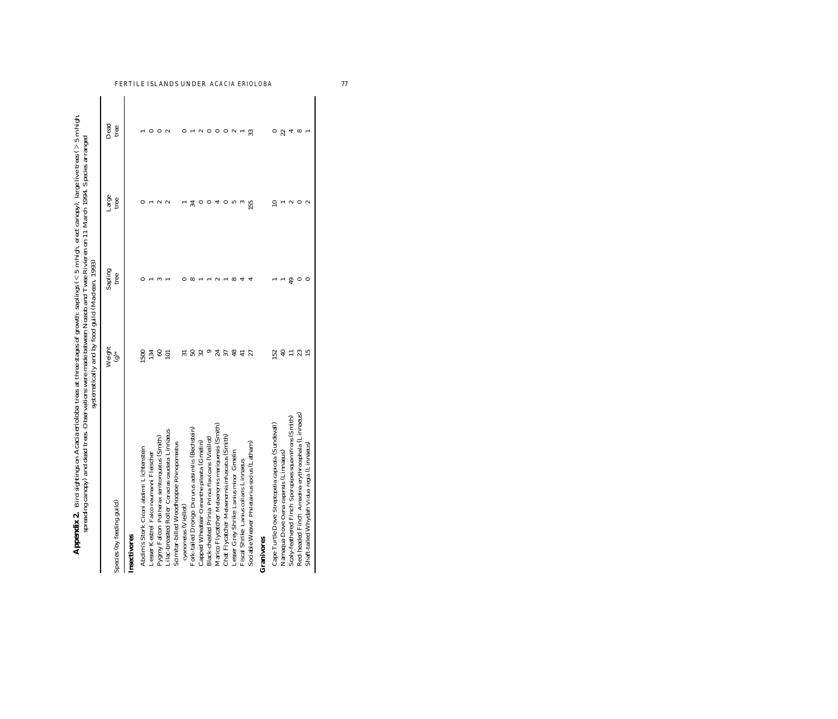<span id="page-16-0"></span>

| Appendix 2. Bird sightings on Acacia erioloba trees at three stages of growth: saplings (<5 m high, erect canopy), large live trees (>5 m high,<br>spreading canopy) and dead trees. Observations were made between Nossob and Twee Rivieren on 11 March 1994. Species arranged<br>Species (by feeding guild) | systematically and by food guild (Maclean, 1993)<br>Weight<br>$\overset{*}{\mathbf{e}}$ | Sapling<br>tree | Large<br>tree | Dead<br>tree |
|---------------------------------------------------------------------------------------------------------------------------------------------------------------------------------------------------------------------------------------------------------------------------------------------------------------|-----------------------------------------------------------------------------------------|-----------------|---------------|--------------|
| Insectivores                                                                                                                                                                                                                                                                                                  |                                                                                         |                 |               |              |
| Abdim's Stork Ciconi abdimii Lichtenstein                                                                                                                                                                                                                                                                     | 500                                                                                     |                 |               |              |
| Lesser Kestrel Falco naumanni Fleischer                                                                                                                                                                                                                                                                       | 134                                                                                     |                 |               |              |
| Pygmy Falcon Poliherax semitorquatus (Smith)                                                                                                                                                                                                                                                                  | 60                                                                                      |                 |               |              |
| Lilac-breasted Roller Coracias caudata Linnaeus                                                                                                                                                                                                                                                               | $\Xi$                                                                                   |                 | $\sim$        |              |
| Scimitar-billed Woodhoopoe Rhinopomastus                                                                                                                                                                                                                                                                      |                                                                                         |                 |               |              |
| cyanomelas (Vieillot)                                                                                                                                                                                                                                                                                         |                                                                                         |                 |               |              |
| Fork-tailed Drongo Dicrurus adsimilis (Bechstein)                                                                                                                                                                                                                                                             | SO                                                                                      |                 | 34            |              |
| Capped Wheatear Oenanthe pileata (Gmelin)                                                                                                                                                                                                                                                                     | 32                                                                                      |                 |               |              |
| Black-chested Prinia Prinia flavicans (Vieillot)                                                                                                                                                                                                                                                              |                                                                                         |                 |               |              |
| Marico Flycatcher Melaenornis mariquensis (Smith)                                                                                                                                                                                                                                                             | 24                                                                                      |                 |               |              |
| Chat Flycatcher Melaenornis infuscatus (Smith)                                                                                                                                                                                                                                                                | 37                                                                                      |                 |               |              |
| Gmelin<br>Lesser Grey Shrike Lanius minor                                                                                                                                                                                                                                                                     | 48                                                                                      | $\infty$        |               |              |
| Fiscal Shrike Lanius collaris Linnaeus                                                                                                                                                                                                                                                                        | ₽                                                                                       |                 |               |              |
| Sociable Weaver Philetairius socius (Latham)                                                                                                                                                                                                                                                                  | 27                                                                                      |                 | 155           | 33           |
| Granivores                                                                                                                                                                                                                                                                                                    |                                                                                         |                 |               |              |
| Cape Turtle Dove Streptopelia capicola (Sundevall)                                                                                                                                                                                                                                                            | 52                                                                                      |                 |               |              |
| Namaqua Dove Oena capensis (Linnaeus)                                                                                                                                                                                                                                                                         | ą,                                                                                      |                 |               | 22           |
| Scaly-feathered Finch Sporopipes squamifrons (Smith)                                                                                                                                                                                                                                                          |                                                                                         | ą,              | $\sim$        |              |
| Red-headed Finch Amadina erythrocephala (Linnaeus)                                                                                                                                                                                                                                                            | 23                                                                                      |                 |               | $^{\circ}$   |
| Linnaeus<br>Shaft-tailed Whydah Vidua regia                                                                                                                                                                                                                                                                   | 15                                                                                      |                 | $\sim$        |              |

FERTILE ISLANDS UNDER *ACACIA ERIOLOBA* 77